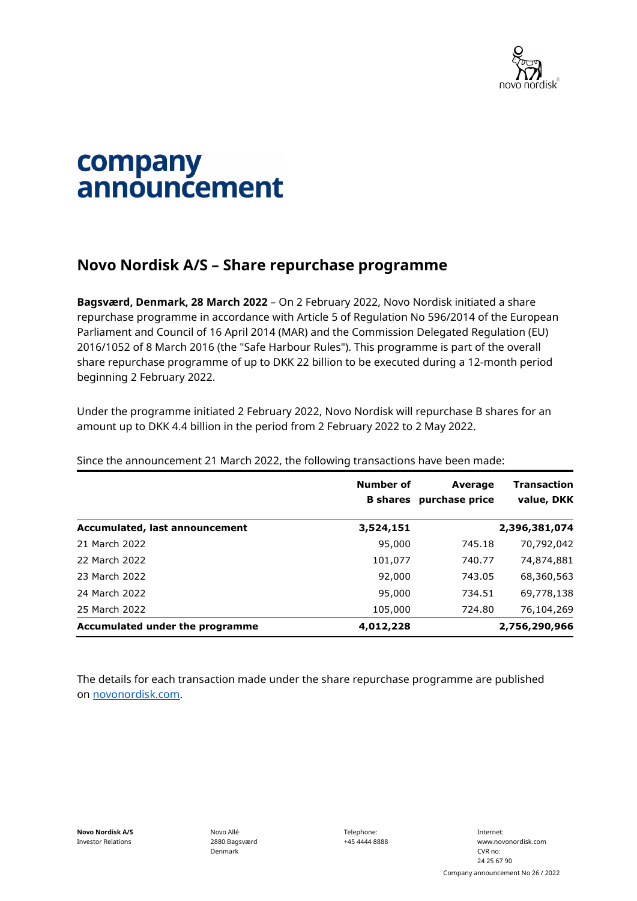

## company announcement

## **Novo Nordisk A/S – Share repurchase programme**

**Bagsværd, Denmark, 28 March 2022** – On 2 February 2022, Novo Nordisk initiated a share repurchase programme in accordance with Article 5 of Regulation No 596/2014 of the European Parliament and Council of 16 April 2014 (MAR) and the Commission Delegated Regulation (EU) 2016/1052 of 8 March 2016 (the "Safe Harbour Rules"). This programme is part of the overall share repurchase programme of up to DKK 22 billion to be executed during a 12-month period beginning 2 February 2022.

Under the programme initiated 2 February 2022, Novo Nordisk will repurchase B shares for an amount up to DKK 4.4 billion in the period from 2 February 2022 to 2 May 2022.

|                                 | Number of | Average<br><b>B</b> shares purchase price | <b>Transaction</b><br>value, DKK |
|---------------------------------|-----------|-------------------------------------------|----------------------------------|
| Accumulated, last announcement  | 3,524,151 |                                           | 2,396,381,074                    |
| 21 March 2022                   | 95,000    | 745.18                                    | 70,792,042                       |
| 22 March 2022                   | 101,077   | 740.77                                    | 74,874,881                       |
| 23 March 2022                   | 92,000    | 743.05                                    | 68,360,563                       |
| 24 March 2022                   | 95,000    | 734.51                                    | 69,778,138                       |
| 25 March 2022                   | 105,000   | 724.80                                    | 76,104,269                       |
| Accumulated under the programme | 4,012,228 |                                           | 2,756,290,966                    |

Since the announcement 21 March 2022, the following transactions have been made:

The details for each transaction made under the share repurchase programme are published on [novonordisk.com.](https://www.novonordisk.com/news-and-media/news-and-ir-materials.html)